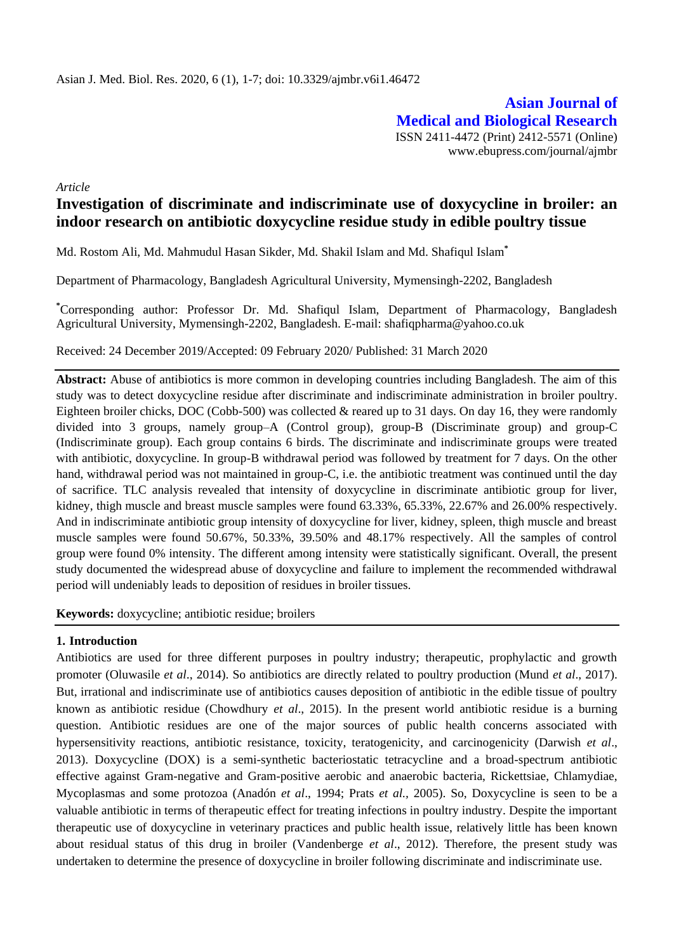**Asian Journal of Medical and Biological Research** ISSN 2411-4472 (Print) 2412-5571 (Online) www.ebupress.com/journal/ajmbr

*Article*

# **Investigation of discriminate and indiscriminate use of doxycycline in broiler: an indoor research on antibiotic doxycycline residue study in edible poultry tissue**

Md. Rostom Ali, Md. Mahmudul Hasan Sikder, Md. Shakil Islam and Md. Shafiqul Islam**\***

Department of Pharmacology, Bangladesh Agricultural University, Mymensingh-2202, Bangladesh

**\***Corresponding author: Professor Dr. Md. Shafiqul Islam, Department of Pharmacology, Bangladesh Agricultural University, Mymensingh-2202, Bangladesh. E-mail: shafiqpharma@yahoo.co.uk

Received: 24 December 2019/Accepted: 09 February 2020/ Published: 31 March 2020

**Abstract:** Abuse of antibiotics is more common in developing countries including Bangladesh. The aim of this study was to detect doxycycline residue after discriminate and indiscriminate administration in broiler poultry. Eighteen broiler chicks, DOC (Cobb-500) was collected & reared up to 31 days. On day 16, they were randomly divided into 3 groups, namely group–A (Control group), group-B (Discriminate group) and group-C (Indiscriminate group). Each group contains 6 birds. The discriminate and indiscriminate groups were treated with antibiotic, doxycycline. In group-B withdrawal period was followed by treatment for 7 days. On the other hand, withdrawal period was not maintained in group-C, i.e. the antibiotic treatment was continued until the day of sacrifice. TLC analysis revealed that intensity of doxycycline in discriminate antibiotic group for liver, kidney, thigh muscle and breast muscle samples were found 63.33%, 65.33%, 22.67% and 26.00% respectively. And in indiscriminate antibiotic group intensity of doxycycline for liver, kidney, spleen, thigh muscle and breast muscle samples were found 50.67%, 50.33%, 39.50% and 48.17% respectively. All the samples of control group were found 0% intensity. The different among intensity were statistically significant. Overall, the present study documented the widespread abuse of doxycycline and failure to implement the recommended withdrawal period will undeniably leads to deposition of residues in broiler tissues.

**Keywords:** doxycycline; antibiotic residue; broilers

### **1. Introduction**

Antibiotics are used for three different purposes in poultry industry; therapeutic, prophylactic and growth promoter (Oluwasile *et al*., 2014). So antibiotics are directly related to poultry production (Mund *et al*., 2017). But, irrational and indiscriminate use of antibiotics causes deposition of antibiotic in the edible tissue of poultry known as antibiotic residue (Chowdhury *et al*., 2015). In the present world antibiotic residue is a burning question. Antibiotic residues are one of the major sources of public health concerns associated with hypersensitivity reactions, antibiotic resistance, toxicity, teratogenicity, and carcinogenicity (Darwish *et al*., 2013). Doxycycline (DOX) is a semi-synthetic bacteriostatic tetracycline and a broad-spectrum antibiotic effective against Gram-negative and Gram-positive aerobic and anaerobic bacteria, Rickettsiae, Chlamydiae, Mycoplasmas and some protozoa (Anadón *et al*., 1994; Prats *et al.,* 2005). So, Doxycycline is seen to be a valuable antibiotic in terms of therapeutic effect for treating infections in poultry industry. Despite the important therapeutic use of doxycycline in veterinary practices and public health issue, relatively little has been known about residual status of this drug in broiler (Vandenberge *et al*., 2012). Therefore, the present study was undertaken to determine the presence of doxycycline in broiler following discriminate and indiscriminate use.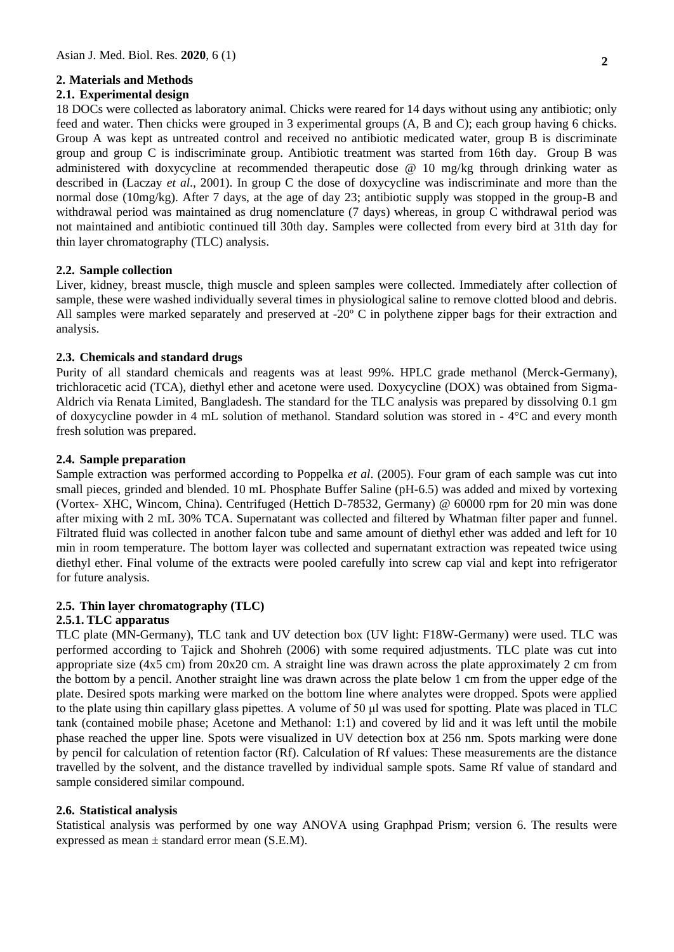### **2. Materials and Methods**

#### **2.1. Experimental design**

18 DOCs were collected as laboratory animal. Chicks were reared for 14 days without using any antibiotic; only feed and water. Then chicks were grouped in 3 experimental groups (A, B and C); each group having 6 chicks. Group A was kept as untreated control and received no antibiotic medicated water, group B is discriminate group and group C is indiscriminate group. Antibiotic treatment was started from 16th day. Group B was administered with doxycycline at recommended therapeutic dose @ 10 mg/kg through drinking water as described in (Laczay *et al*., 2001). In group C the dose of doxycycline was indiscriminate and more than the normal dose (10mg/kg). After 7 days, at the age of day 23; antibiotic supply was stopped in the group-B and withdrawal period was maintained as drug nomenclature (7 days) whereas, in group C withdrawal period was not maintained and antibiotic continued till 30th day. Samples were collected from every bird at 31th day for thin layer chromatography (TLC) analysis.

### **2.2. Sample collection**

Liver, kidney, breast muscle, thigh muscle and spleen samples were collected. Immediately after collection of sample, these were washed individually several times in physiological saline to remove clotted blood and debris. All samples were marked separately and preserved at -20º C in polythene zipper bags for their extraction and analysis.

#### **2.3. Chemicals and standard drugs**

Purity of all standard chemicals and reagents was at least 99%. HPLC grade methanol (Merck-Germany), trichloracetic acid (TCA), diethyl ether and acetone were used. Doxycycline (DOX) was obtained from Sigma-Aldrich via Renata Limited, Bangladesh. The standard for the TLC analysis was prepared by dissolving 0.1 gm of doxycycline powder in 4 mL solution of methanol. Standard solution was stored in - 4°C and every month fresh solution was prepared.

#### **2.4. Sample preparation**

Sample extraction was performed according to Poppelka *et al*. (2005). Four gram of each sample was cut into small pieces, grinded and blended. 10 mL Phosphate Buffer Saline (pH-6.5) was added and mixed by vortexing (Vortex- XHC, Wincom, China). Centrifuged (Hettich D-78532, Germany) @ 60000 rpm for 20 min was done after mixing with 2 mL 30% TCA. Supernatant was collected and filtered by Whatman filter paper and funnel. Filtrated fluid was collected in another falcon tube and same amount of diethyl ether was added and left for 10 min in room temperature. The bottom layer was collected and supernatant extraction was repeated twice using diethyl ether. Final volume of the extracts were pooled carefully into screw cap vial and kept into refrigerator for future analysis.

### **2.5. Thin layer chromatography (TLC)**

## **2.5.1. TLC apparatus**

TLC plate (MN-Germany), TLC tank and UV detection box (UV light: F18W-Germany) were used. TLC was performed according to Tajick and Shohreh (2006) with some required adjustments. TLC plate was cut into appropriate size (4x5 cm) from 20x20 cm. A straight line was drawn across the plate approximately 2 cm from the bottom by a pencil. Another straight line was drawn across the plate below 1 cm from the upper edge of the plate. Desired spots marking were marked on the bottom line where analytes were dropped. Spots were applied to the plate using thin capillary glass pipettes. A volume of 50 μl was used for spotting. Plate was placed in TLC tank (contained mobile phase; Acetone and Methanol: 1:1) and covered by lid and it was left until the mobile phase reached the upper line. Spots were visualized in UV detection box at 256 nm. Spots marking were done by pencil for calculation of retention factor (Rf). Calculation of Rf values: These measurements are the distance travelled by the solvent, and the distance travelled by individual sample spots. Same Rf value of standard and sample considered similar compound.

#### **2.6. Statistical analysis**

Statistical analysis was performed by one way ANOVA using Graphpad Prism; version 6. The results were expressed as mean  $\pm$  standard error mean (S.E.M).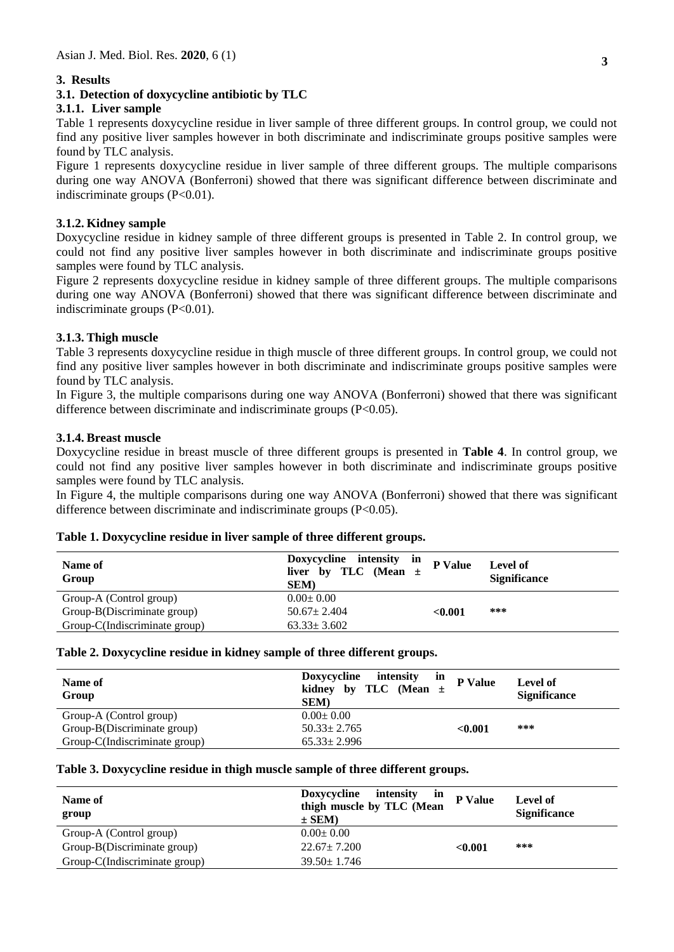### **3. Results**

### **3.1. Detection of doxycycline antibiotic by TLC**

## **3.1.1. Liver sample**

Table 1 represents doxycycline residue in liver sample of three different groups. In control group, we could not find any positive liver samples however in both discriminate and indiscriminate groups positive samples were found by TLC analysis.

Figure 1 represents doxycycline residue in liver sample of three different groups. The multiple comparisons during one way ANOVA (Bonferroni) showed that there was significant difference between discriminate and indiscriminate groups (P<0.01).

### **3.1.2. Kidney sample**

Doxycycline residue in kidney sample of three different groups is presented in Table 2. In control group, we could not find any positive liver samples however in both discriminate and indiscriminate groups positive samples were found by TLC analysis.

Figure 2 represents doxycycline residue in kidney sample of three different groups. The multiple comparisons during one way ANOVA (Bonferroni) showed that there was significant difference between discriminate and indiscriminate groups (P<0.01).

### **3.1.3. Thigh muscle**

Table 3 represents doxycycline residue in thigh muscle of three different groups. In control group, we could not find any positive liver samples however in both discriminate and indiscriminate groups positive samples were found by TLC analysis.

In Figure 3, the multiple comparisons during one way ANOVA (Bonferroni) showed that there was significant difference between discriminate and indiscriminate groups (P<0.05).

### **3.1.4. Breast muscle**

Doxycycline residue in breast muscle of three different groups is presented in **Table 4**. In control group, we could not find any positive liver samples however in both discriminate and indiscriminate groups positive samples were found by TLC analysis.

In Figure 4, the multiple comparisons during one way ANOVA (Bonferroni) showed that there was significant difference between discriminate and indiscriminate groups (P<0.05).

| Name of<br>Group              | Doxycycline intensity<br>in<br>liver by TLC (Mean $\pm$<br><b>SEM</b> ) | P Value | Level of<br><b>Significance</b> |
|-------------------------------|-------------------------------------------------------------------------|---------|---------------------------------|
| Group-A (Control group)       | $0.00 \pm 0.00$                                                         |         |                                 |
| Group-B(Discriminate group)   | $50.67 \pm 2.404$                                                       | < 0.001 | ***                             |
| Group-C(Indiscriminate group) | $63.33 \pm 3.602$                                                       |         |                                 |

#### **Table 1. Doxycycline residue in liver sample of three different groups.**

#### **Table 2. Doxycycline residue in kidney sample of three different groups.**

| Name of<br>Group              | <b>Doxycycline</b><br>intensity<br>in<br>kidney by TLC (Mean $\pm$<br><b>SEM</b> | P Value | Level of<br><b>Significance</b> |
|-------------------------------|----------------------------------------------------------------------------------|---------|---------------------------------|
| Group-A (Control group)       | $0.00 \pm 0.00$                                                                  |         |                                 |
| Group-B(Discriminate group)   | $50.33 \pm 2.765$                                                                | < 0.001 | ***                             |
| Group-C(Indiscriminate group) | $65.33 \pm 2.996$                                                                |         |                                 |

#### **Table 3. Doxycycline residue in thigh muscle sample of three different groups.**

| Name of<br>group              | Doxycycline<br>intensity<br>in<br>thigh muscle by TLC (Mean<br>$\pm$ SEM) | P Value | Level of<br><b>Significance</b> |
|-------------------------------|---------------------------------------------------------------------------|---------|---------------------------------|
| Group-A (Control group)       | $0.00 \pm 0.00$                                                           |         |                                 |
| Group-B(Discriminate group)   | $22.67 \pm 7.200$                                                         | < 0.001 | ***                             |
| Group-C(Indiscriminate group) | $39.50 \pm 1.746$                                                         |         |                                 |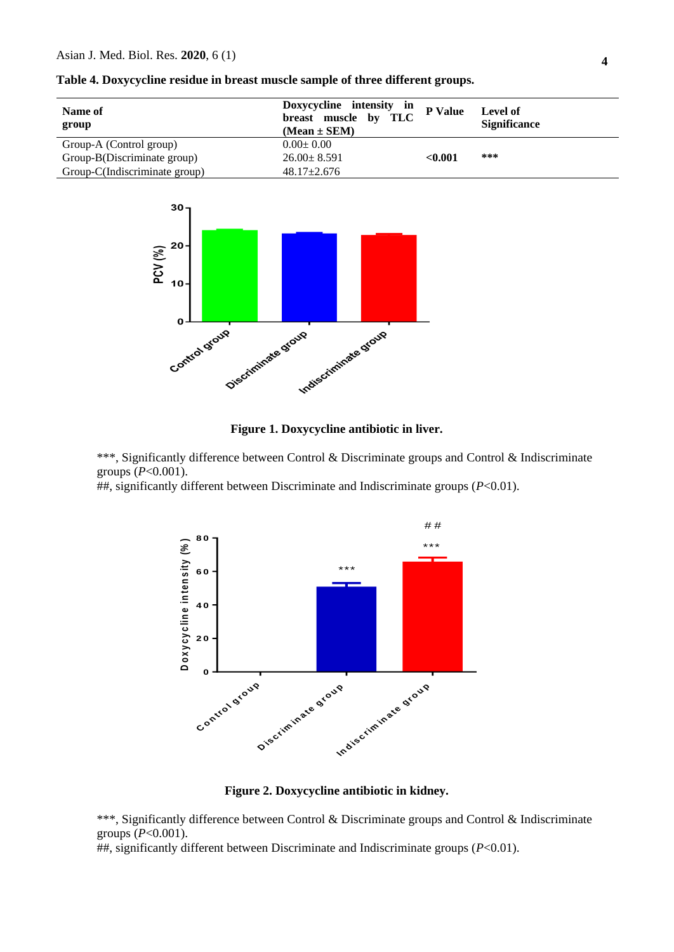| Name of<br>group              | Doxycycline intensity in<br><b>TLC</b><br>breast muscle by<br>$(Mean \pm SEM)$ | P Value | Level of<br><b>Significance</b> |
|-------------------------------|--------------------------------------------------------------------------------|---------|---------------------------------|
| Group-A (Control group)       | $0.00 \pm 0.00$                                                                |         |                                 |
| Group-B(Discriminate group)   | $26.00 \pm 8.591$                                                              | < 0.001 | ***                             |
| Group-C(Indiscriminate group) | $48.17 \pm 2.676$                                                              |         |                                 |





### **Figure 1. Doxycycline antibiotic in liver.**

\*\*\*, Significantly difference between Control & Discriminate groups and Control & Indiscriminate groups (*P*<0.001).

##, significantly different between Discriminate and Indiscriminate groups (*P*<0.01).



### **Figure 2. Doxycycline antibiotic in kidney.**

\*\*\*, Significantly difference between Control & Discriminate groups and Control & Indiscriminate groups (*P*<0.001).

##, significantly different between Discriminate and Indiscriminate groups (*P*<0.01).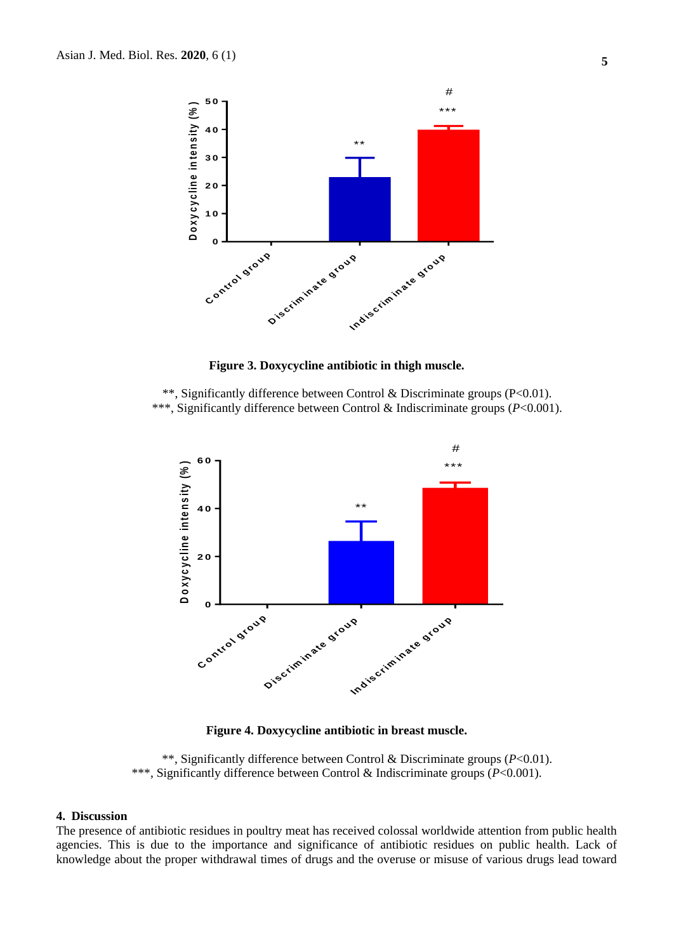

**Figure 3. Doxycycline antibiotic in thigh muscle.**

\*\*, Significantly difference between Control & Discriminate groups (P<0.01). \*\*\*, Significantly difference between Control & Indiscriminate groups (*P*<0.001).



**Figure 4. Doxycycline antibiotic in breast muscle.**

\*\*, Significantly difference between Control & Discriminate groups (*P*<0.01). \*\*\*, Significantly difference between Control & Indiscriminate groups (*P*<0.001).

#### **4. Discussion**

The presence of antibiotic residues in poultry meat has received colossal worldwide attention from public health agencies. This is due to the importance and significance of antibiotic residues on public health. Lack of knowledge about the proper withdrawal times of drugs and the overuse or misuse of various drugs lead toward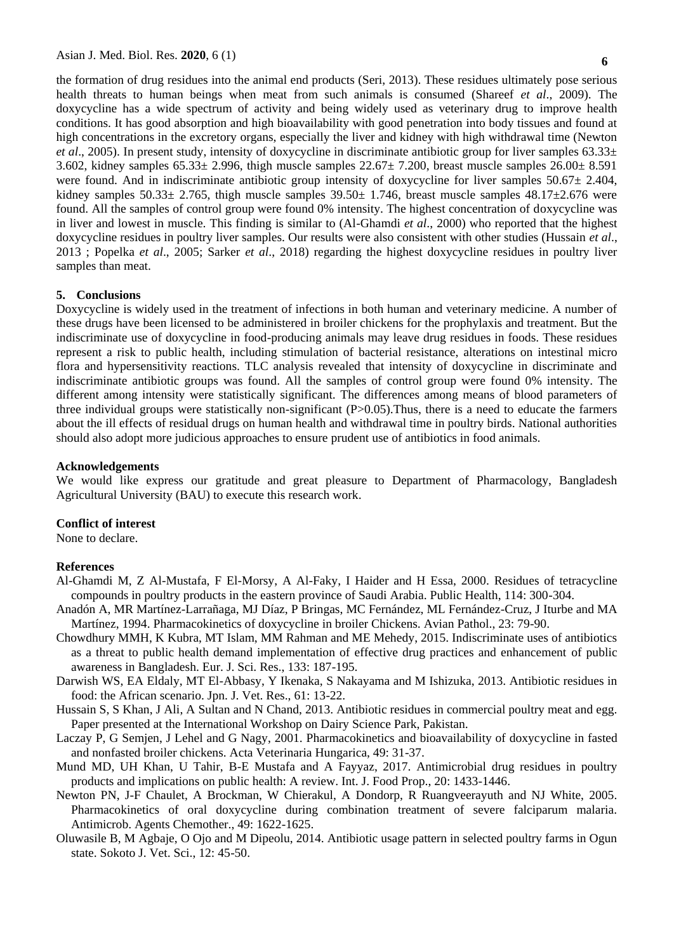the formation of drug residues into the animal end products (Seri, 2013). These residues ultimately pose serious health threats to human beings when meat from such animals is consumed (Shareef *et al*., 2009). The doxycycline has a wide spectrum of activity and being widely used as veterinary drug to improve health conditions. It has good absorption and high bioavailability with good penetration into body tissues and found at high concentrations in the excretory organs, especially the liver and kidney with high withdrawal time (Newton *et al*., 2005). In present study, intensity of doxycycline in discriminate antibiotic group for liver samples 63.33± 3.602, kidney samples  $65.33 \pm 2.996$ , thigh muscle samples  $22.67 \pm 7.200$ , breast muscle samples  $26.00 \pm 8.591$ were found. And in indiscriminate antibiotic group intensity of doxycycline for liver samples  $50.67 \pm 2.404$ , kidney samples  $50.33\pm 2.765$ , thigh muscle samples  $39.50\pm 1.746$ , breast muscle samples  $48.17\pm 2.676$  were found. All the samples of control group were found 0% intensity. The highest concentration of doxycycline was in liver and lowest in muscle. This finding is similar to (Al-Ghamdi *et al*., 2000) who reported that the highest doxycycline residues in poultry liver samples. Our results were also consistent with other studies (Hussain *et al*., 2013 ; Popelka *et al*., 2005; Sarker *et al*., 2018) regarding the highest doxycycline residues in poultry liver samples than meat.

#### **5. Conclusions**

Doxycycline is widely used in the treatment of infections in both human and veterinary medicine. A number of these drugs have been licensed to be administered in broiler chickens for the prophylaxis and treatment. But the indiscriminate use of doxycycline in food-producing animals may leave drug residues in foods. These residues represent a risk to public health, including stimulation of bacterial resistance, alterations on intestinal micro flora and hypersensitivity reactions. TLC analysis revealed that intensity of doxycycline in discriminate and indiscriminate antibiotic groups was found. All the samples of control group were found 0% intensity. The different among intensity were statistically significant. The differences among means of blood parameters of three individual groups were statistically non-significant  $(P>0.05)$ . Thus, there is a need to educate the farmers about the ill effects of residual drugs on human health and withdrawal time in poultry birds. National authorities should also adopt more judicious approaches to ensure prudent use of antibiotics in food animals.

#### **Acknowledgements**

We would like express our gratitude and great pleasure to Department of Pharmacology, Bangladesh Agricultural University (BAU) to execute this research work.

### **Conflict of interest**

None to declare.

#### **References**

- Al-Ghamdi M, Z Al-Mustafa, F El-Morsy, A Al-Faky, I Haider and H Essa, 2000. Residues of tetracycline compounds in poultry products in the eastern province of Saudi Arabia. Public Health, 114: 300-304.
- Anadón A, MR Martínez-Larrañaga, MJ Díaz, P Bringas, MC Fernández, ML Fernández-Cruz, J Iturbe and MA Martínez, 1994. Pharmacokinetics of doxycycline in broiler Chickens. Avian Pathol., 23: 79-90.
- Chowdhury MMH, K Kubra, MT Islam, MM Rahman and ME Mehedy, 2015. Indiscriminate uses of antibiotics as a threat to public health demand implementation of effective drug practices and enhancement of public awareness in Bangladesh. Eur. J. Sci. Res., 133: 187-195.
- Darwish WS, EA Eldaly, MT El-Abbasy, Y Ikenaka, S Nakayama and M Ishizuka, 2013. Antibiotic residues in food: the African scenario. Jpn. J. Vet. Res., 61: 13-22.
- Hussain S, S Khan, J Ali, A Sultan and N Chand, 2013. Antibiotic residues in commercial poultry meat and egg. Paper presented at the International Workshop on Dairy Science Park, Pakistan.
- Laczay P, G Semjen, J Lehel and G Nagy, 2001. Pharmacokinetics and bioavailability of doxycycline in fasted and nonfasted broiler chickens. Acta Veterinaria Hungarica, 49: 31-37.
- Mund MD, UH Khan, U Tahir, B-E Mustafa and A Fayyaz, 2017. Antimicrobial drug residues in poultry products and implications on public health: A review. Int. J. Food Prop., 20: 1433-1446.
- Newton PN, J-F Chaulet, A Brockman, W Chierakul, A Dondorp, R Ruangveerayuth and NJ White, 2005. Pharmacokinetics of oral doxycycline during combination treatment of severe falciparum malaria. Antimicrob. Agents Chemother., 49: 1622-1625.
- Oluwasile B, M Agbaje, O Ojo and M Dipeolu, 2014. Antibiotic usage pattern in selected poultry farms in Ogun state. Sokoto J. Vet. Sci., 12: 45-50.